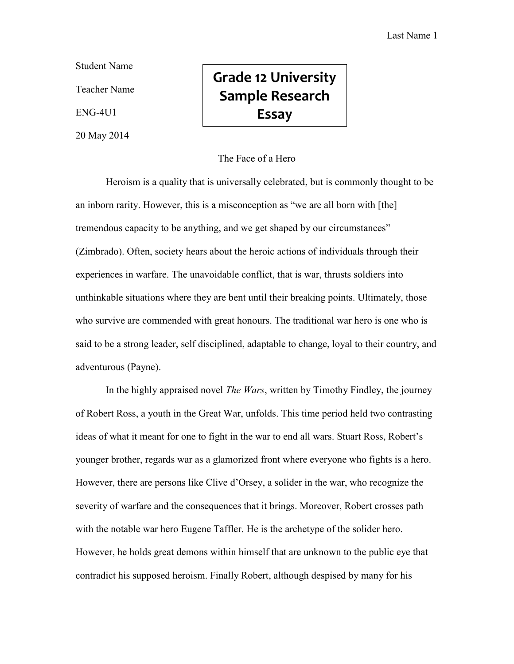Student Name

Teacher Name

ENG-4U1

20 May 2014

## **Grade 12 University Sample Research Essay**

## The Face of a Hero

Heroism is a quality that is universally celebrated, but is commonly thought to be an inborn rarity. However, this is a misconception as "we are all born with [the] tremendous capacity to be anything, and we get shaped by our circumstances" (Zimbrado). Often, society hears about the heroic actions of individuals through their experiences in warfare. The unavoidable conflict, that is war, thrusts soldiers into unthinkable situations where they are bent until their breaking points. Ultimately, those who survive are commended with great honours. The traditional war hero is one who is said to be a strong leader, self disciplined, adaptable to change, loyal to their country, and adventurous (Payne).

In the highly appraised novel *The Wars*, written by Timothy Findley, the journey of Robert Ross, a youth in the Great War, unfolds. This time period held two contrasting ideas of what it meant for one to fight in the war to end all wars. Stuart Ross, Robert's younger brother, regards war as a glamorized front where everyone who fights is a hero. However, there are persons like Clive d'Orsey, a solider in the war, who recognize the severity of warfare and the consequences that it brings. Moreover, Robert crosses path with the notable war hero Eugene Taffler. He is the archetype of the solider hero. However, he holds great demons within himself that are unknown to the public eye that contradict his supposed heroism. Finally Robert, although despised by many for his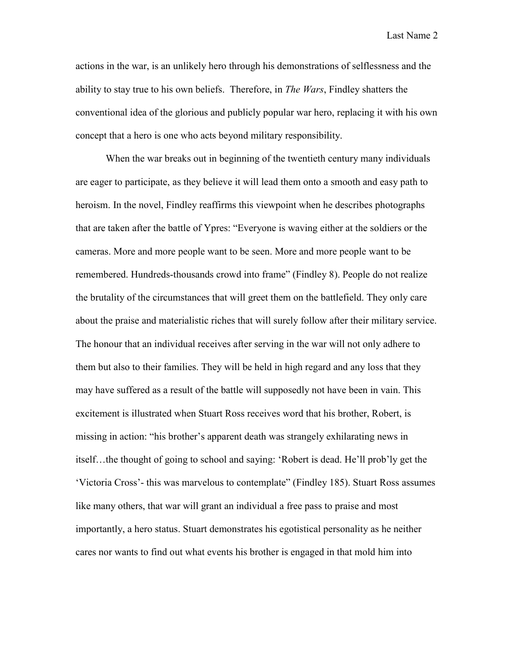Last Name 2

actions in the war, is an unlikely hero through his demonstrations of selflessness and the ability to stay true to his own beliefs. Therefore, in *The Wars*, Findley shatters the conventional idea of the glorious and publicly popular war hero, replacing it with his own concept that a hero is one who acts beyond military responsibility.

When the war breaks out in beginning of the twentieth century many individuals are eager to participate, as they believe it will lead them onto a smooth and easy path to heroism. In the novel, Findley reaffirms this viewpoint when he describes photographs that are taken after the battle of Ypres: "Everyone is waving either at the soldiers or the cameras. More and more people want to be seen. More and more people want to be remembered. Hundreds-thousands crowd into frame" (Findley 8). People do not realize the brutality of the circumstances that will greet them on the battlefield. They only care about the praise and materialistic riches that will surely follow after their military service. The honour that an individual receives after serving in the war will not only adhere to them but also to their families. They will be held in high regard and any loss that they may have suffered as a result of the battle will supposedly not have been in vain. This excitement is illustrated when Stuart Ross receives word that his brother, Robert, is missing in action: "his brother's apparent death was strangely exhilarating news in itself…the thought of going to school and saying: 'Robert is dead. He'll prob'ly get the 'Victoria Cross'- this was marvelous to contemplate" (Findley 185). Stuart Ross assumes like many others, that war will grant an individual a free pass to praise and most importantly, a hero status. Stuart demonstrates his egotistical personality as he neither cares nor wants to find out what events his brother is engaged in that mold him into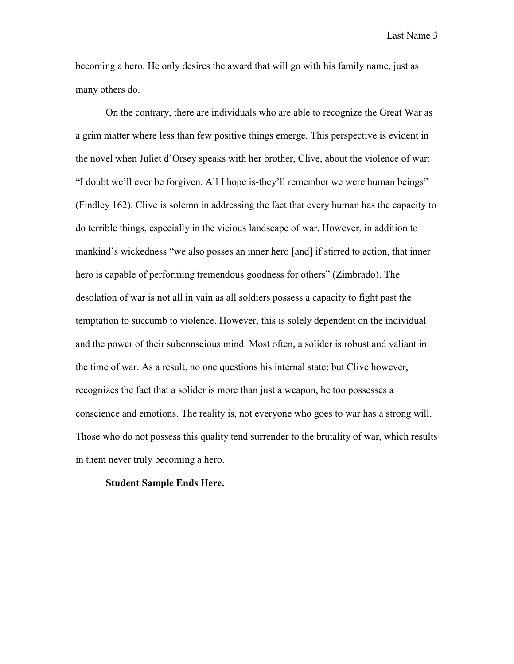Last Name 3

becoming a hero. He only desires the award that will go with his family name, just as many others do.

On the contrary, there are individuals who are able to recognize the Great War as a grim matter where less than few positive things emerge. This perspective is evident in the novel when Juliet d'Orsey speaks with her brother, Clive, about the violence of war: "I doubt we'll ever be forgiven. All I hope is-they'll remember we were human beings" (Findley 162). Clive is solemn in addressing the fact that every human has the capacity to do terrible things, especially in the vicious landscape of war. However, in addition to mankind's wickedness "we also posses an inner hero [and] if stirred to action, that inner hero is capable of performing tremendous goodness for others" (Zimbrado). The desolation of war is not all in vain as all soldiers possess a capacity to fight past the temptation to succumb to violence. However, this is solely dependent on the individual and the power of their subconscious mind. Most often, a solider is robust and valiant in the time of war. As a result, no one questions his internal state; but Clive however, recognizes the fact that a solider is more than just a weapon, he too possesses a conscience and emotions. The reality is, not everyone who goes to war has a strong will. Those who do not possess this quality tend surrender to the brutality of war, which results in them never truly becoming a hero.

## **Student Sample Ends Here.**